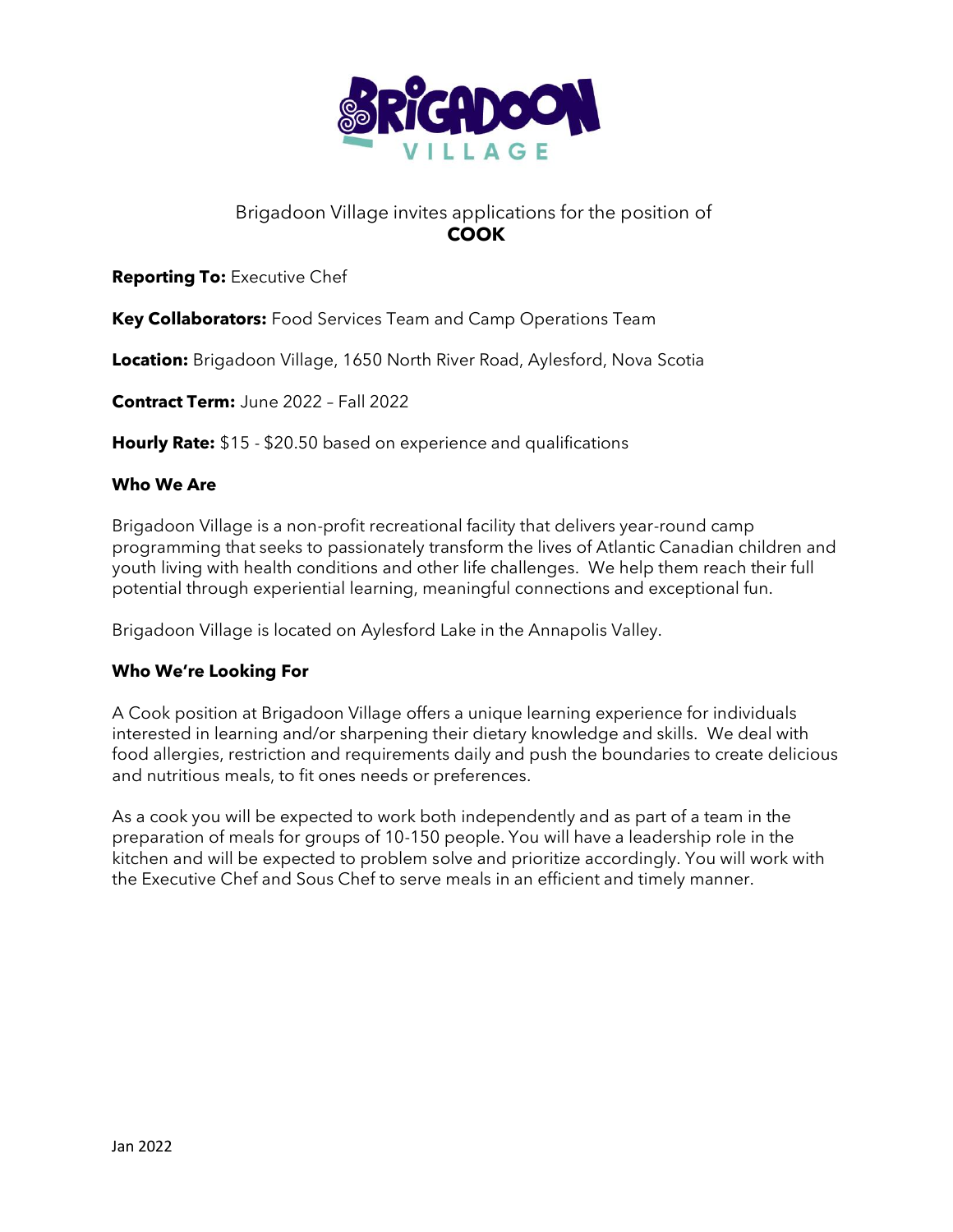

# Brigadoon Village invites applications for the position of **COOK**

## **Reporting To:** Executive Chef

**Key Collaborators:** Food Services Team and Camp Operations Team

**Location:** Brigadoon Village, 1650 North River Road, Aylesford, Nova Scotia

**Contract Term:** June 2022 – Fall 2022

**Hourly Rate:** \$15 - \$20.50 based on experience and qualifications

#### **Who We Are**

Brigadoon Village is a non-profit recreational facility that delivers year-round camp programming that seeks to passionately transform the lives of Atlantic Canadian children and youth living with health conditions and other life challenges. We help them reach their full potential through experiential learning, meaningful connections and exceptional fun.

Brigadoon Village is located on Aylesford Lake in the Annapolis Valley.

#### **Who We're Looking For**

A Cook position at Brigadoon Village offers a unique learning experience for individuals interested in learning and/or sharpening their dietary knowledge and skills. We deal with food allergies, restriction and requirements daily and push the boundaries to create delicious and nutritious meals, to fit ones needs or preferences.

As a cook you will be expected to work both independently and as part of a team in the preparation of meals for groups of 10-150 people. You will have a leadership role in the kitchen and will be expected to problem solve and prioritize accordingly. You will work with the Executive Chef and Sous Chef to serve meals in an efficient and timely manner.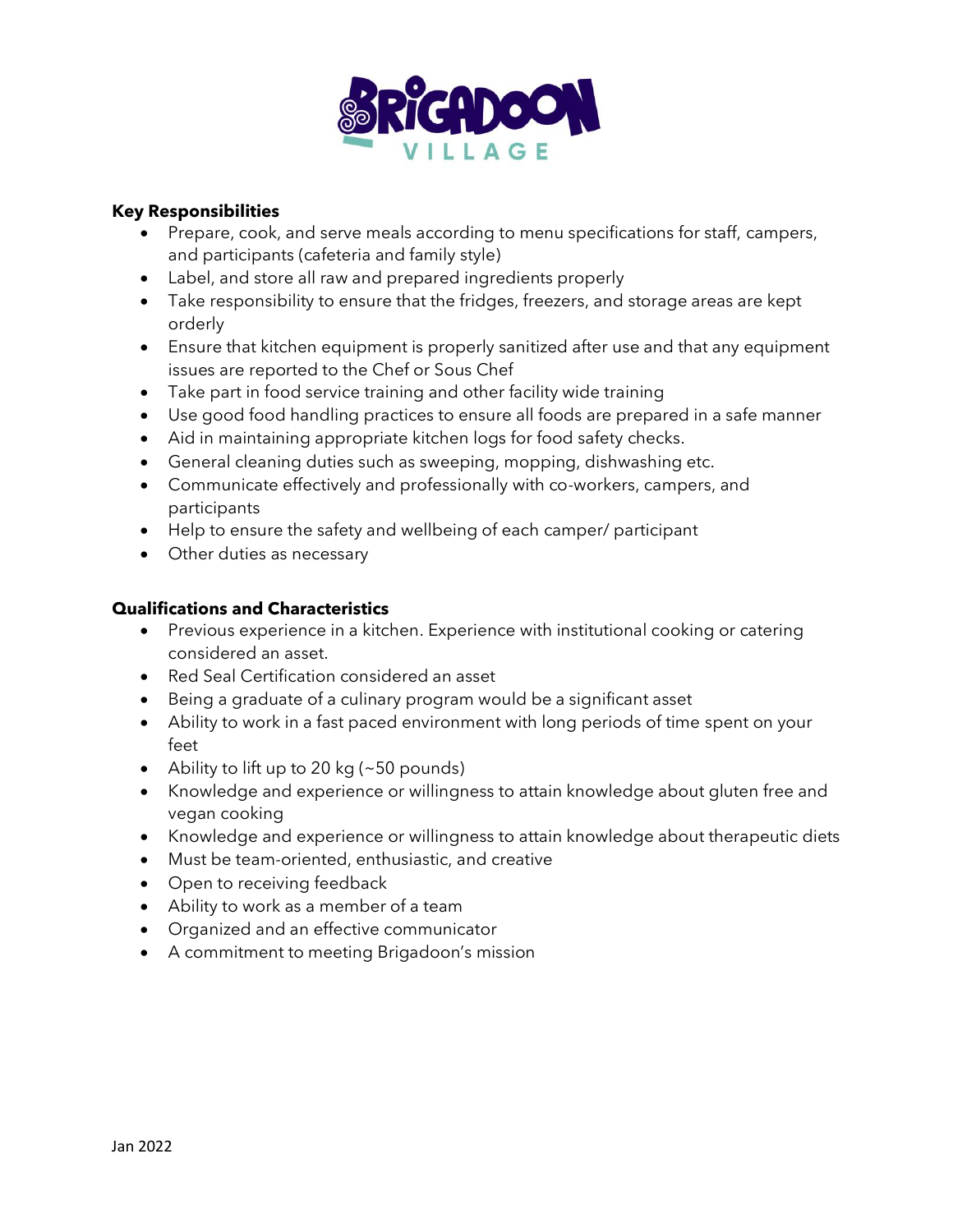

## **Key Responsibilities**

- Prepare, cook, and serve meals according to menu specifications for staff, campers, and participants (cafeteria and family style)
- Label, and store all raw and prepared ingredients properly
- Take responsibility to ensure that the fridges, freezers, and storage areas are kept orderly
- Ensure that kitchen equipment is properly sanitized after use and that any equipment issues are reported to the Chef or Sous Chef
- Take part in food service training and other facility wide training
- Use good food handling practices to ensure all foods are prepared in a safe manner
- Aid in maintaining appropriate kitchen logs for food safety checks.
- General cleaning duties such as sweeping, mopping, dishwashing etc.
- Communicate effectively and professionally with co-workers, campers, and participants
- Help to ensure the safety and wellbeing of each camper/ participant
- Other duties as necessary

## **Qualifications and Characteristics**

- Previous experience in a kitchen. Experience with institutional cooking or catering considered an asset.
- Red Seal Certification considered an asset
- Being a graduate of a culinary program would be a significant asset
- Ability to work in a fast paced environment with long periods of time spent on your feet
- Ability to lift up to 20 kg ( $\sim$  50 pounds)
- Knowledge and experience or willingness to attain knowledge about gluten free and vegan cooking
- Knowledge and experience or willingness to attain knowledge about therapeutic diets
- Must be team-oriented, enthusiastic, and creative
- Open to receiving feedback
- Ability to work as a member of a team
- Organized and an effective communicator
- A commitment to meeting Brigadoon's mission